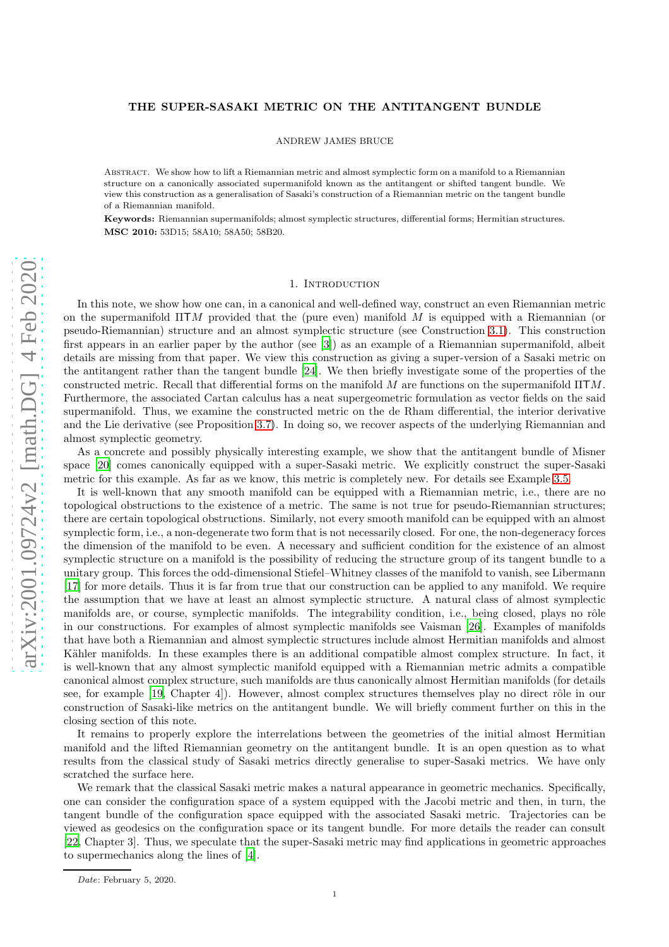# THE SUPER-SASAKI METRIC ON THE ANTITANGENT BUNDLE

ANDREW JAMES BRUCE

Abstract. We show how to lift a Riemannian metric and almost symplectic form on a manifold to a Riemannian structure on a canonically associated supermanifold known as the antitangent or shifted tangent bundle. We view this construction as a generalisation of Sasaki's construction of a Riemannian metric on the tangent bundle of a Riemannian manifold.

Keywords: Riemannian supermanifolds; almost symplectic structures, differential forms; Hermitian structures. MSC 2010: 53D15; 58A10; 58A50; 58B20.

## 1. INTRODUCTION

arXiv:2001.09724v2 [math.DG] 4 Feb 2020 [arXiv:2001.09724v2 \[math.DG\] 4 Feb 2020](http://arxiv.org/abs/2001.09724v2)

In this note, we show how one can, in a canonical and well-defined way, construct an even Riemannian metric on the supermanifold  $\Pi TM$  provided that the (pure even) manifold M is equipped with a Riemannian (or pseudo-Riemannian) structure and an almost symplectic structure (see Construction [3.1\)](#page-2-0). This construction first appears in an earlier paper by the author (see [\[3\]](#page-5-0)) as an example of a Riemannian supermanifold, albeit details are missing from that paper. We view this construction as giving a super-version of a Sasaki metric on the antitangent rather than the tangent bundle [\[24\]](#page-6-0). We then briefly investigate some of the properties of the constructed metric. Recall that differential forms on the manifold  $M$  are functions on the supermanifold  $\Pi TM$ . Furthermore, the associated Cartan calculus has a neat supergeometric formulation as vector fields on the said supermanifold. Thus, we examine the constructed metric on the de Rham differential, the interior derivative and the Lie derivative (see Proposition [3.7\)](#page-4-0). In doing so, we recover aspects of the underlying Riemannian and almost symplectic geometry.

As a concrete and possibly physically interesting example, we show that the antitangent bundle of Misner space [\[20\]](#page-5-1) comes canonically equipped with a super-Sasaki metric. We explicitly construct the super-Sasaki metric for this example. As far as we know, this metric is completely new. For details see Example [3.5.](#page-3-0)

It is well-known that any smooth manifold can be equipped with a Riemannian metric, i.e., there are no topological obstructions to the existence of a metric. The same is not true for pseudo-Riemannian structures; there are certain topological obstructions. Similarly, not every smooth manifold can be equipped with an almost symplectic form, i.e., a non-degenerate two form that is not necessarily closed. For one, the non-degeneracy forces the dimension of the manifold to be even. A necessary and sufficient condition for the existence of an almost symplectic structure on a manifold is the possibility of reducing the structure group of its tangent bundle to a unitary group. This forces the odd-dimensional Stiefel–Whitney classes of the manifold to vanish, see Libermann [\[17](#page-5-2)] for more details. Thus it is far from true that our construction can be applied to any manifold. We require the assumption that we have at least an almost symplectic structure. A natural class of almost symplectic manifolds are, or course, symplectic manifolds. The integrability condition, i.e., being closed, plays no rôle in our constructions. For examples of almost symplectic manifolds see Vaisman [\[26\]](#page-6-1). Examples of manifolds that have both a Riemannian and almost symplectic structures include almost Hermitian manifolds and almost Kähler manifolds. In these examples there is an additional compatible almost complex structure. In fact, it is well-known that any almost symplectic manifold equipped with a Riemannian metric admits a compatible canonical almost complex structure, such manifolds are thus canonically almost Hermitian manifolds (for details see, for example [\[19,](#page-5-3) Chapter 4]). However, almost complex structures themselves play no direct rôle in our construction of Sasaki-like metrics on the antitangent bundle. We will briefly comment further on this in the closing section of this note.

It remains to properly explore the interrelations between the geometries of the initial almost Hermitian manifold and the lifted Riemannian geometry on the antitangent bundle. It is an open question as to what results from the classical study of Sasaki metrics directly generalise to super-Sasaki metrics. We have only scratched the surface here.

We remark that the classical Sasaki metric makes a natural appearance in geometric mechanics. Specifically, one can consider the configuration space of a system equipped with the Jacobi metric and then, in turn, the tangent bundle of the configuration space equipped with the associated Sasaki metric. Trajectories can be viewed as geodesics on the configuration space or its tangent bundle. For more details the reader can consult [\[22](#page-6-2), Chapter 3]. Thus, we speculate that the super-Sasaki metric may find applications in geometric approaches to supermechanics along the lines of [\[4](#page-5-4)].

Date: February 5, 2020.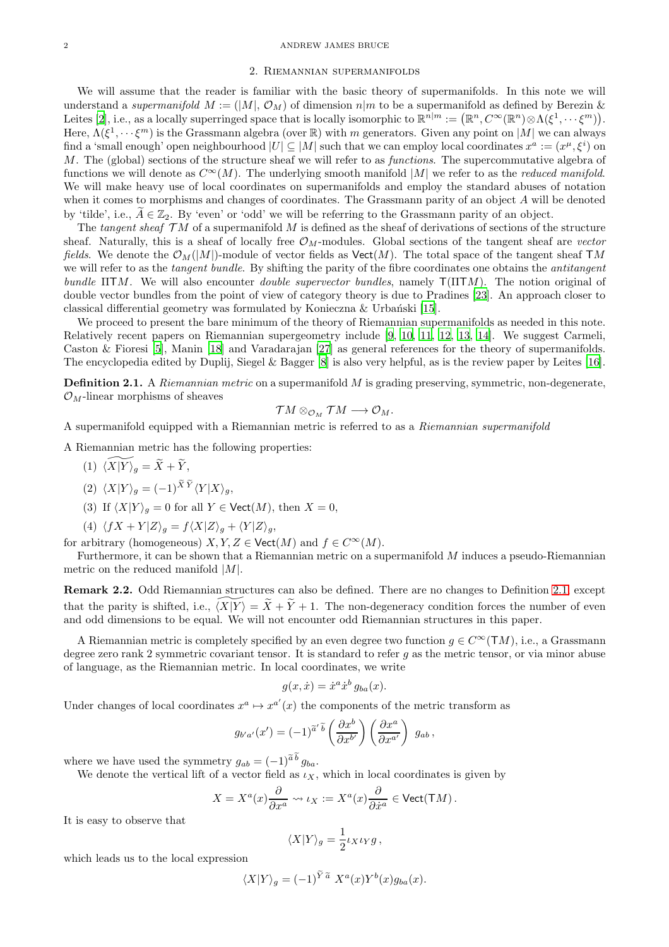#### 2 ANDREW JAMES BRUCE

#### 2. Riemannian supermanifolds

We will assume that the reader is familiar with the basic theory of supermanifolds. In this note we will understand a supermanifold  $M := (|M|, \mathcal{O}_M)$  of dimension  $n|m$  to be a supermanifold as defined by Berezin & Leites [\[2\]](#page-5-5), i.e., as a locally superringed space that is locally isomorphic to  $\mathbb{R}^{n|m} := (\mathbb{R}^n, C^{\infty}(\mathbb{R}^n) \otimes \Lambda(\xi^1, \dots, \xi^m)).$ Here,  $\Lambda(\xi^1,\dots,\xi^m)$  is the Grassmann algebra (over  $\mathbb R)$  with m generators. Given any point on  $|M|$  we can always find a 'small enough' open neighbourhood  $|U| \subseteq |M|$  such that we can employ local coordinates  $x^a := (x^{\mu}, \xi^i)$  on M. The (global) sections of the structure sheaf we will refer to as functions. The supercommutative algebra of functions we will denote as  $C^{\infty}(M)$ . The underlying smooth manifold |M| we refer to as the *reduced manifold*. We will make heavy use of local coordinates on supermanifolds and employ the standard abuses of notation when it comes to morphisms and changes of coordinates. The Grassmann parity of an object A will be denoted by 'tilde', i.e.,  $\tilde{A} \in \mathbb{Z}_2$ . By 'even' or 'odd' we will be referring to the Grassmann parity of an object.

The tangent sheaf  $TM$  of a supermanifold M is defined as the sheaf of derivations of sections of the structure sheaf. Naturally, this is a sheaf of locally free  $\mathcal{O}_M$ -modules. Global sections of the tangent sheaf are vector fields. We denote the  $\mathcal{O}_M(|M|)$ -module of vector fields as  $\mathsf{Vect}(M)$ . The total space of the tangent sheaf TM we will refer to as the *tangent bundle*. By shifting the parity of the fibre coordinates one obtains the *antitangent* bundle  $\Pi TM$ . We will also encounter *double supervector bundles*, namely  $T(\Pi TM)$ . The notion original of double vector bundles from the point of view of category theory is due to Pradines [\[23\]](#page-6-3). An approach closer to classical differential geometry was formulated by Konieczna  $\&$  Urbański [\[15](#page-5-6)].

We proceed to present the bare minimum of the theory of Riemannian supermanifolds as needed in this note. Relatively recent papers on Riemannian supergeometry include [\[9](#page-5-7), [10,](#page-5-8) [11,](#page-5-9) [12,](#page-5-10) [13,](#page-5-11) [14\]](#page-5-12). We suggest Carmeli, Caston & Fioresi [\[5](#page-5-13)], Manin [\[18\]](#page-5-14) and Varadarajan [\[27\]](#page-6-4) as general references for the theory of supermanifolds. The encyclopedia edited by Duplij, Siegel & Bagger [\[8](#page-5-15)] is also very helpful, as is the review paper by Leites [\[16](#page-5-16)].

<span id="page-1-0"></span>**Definition 2.1.** A Riemannian metric on a supermanifold  $M$  is grading preserving, symmetric, non-degenerate,  $\mathcal{O}_M$ -linear morphisms of sheaves

$$
{\mathcal T} M \otimes_{{\mathcal O}_M} {\mathcal T} M \longrightarrow {\mathcal O}_M.
$$

A supermanifold equipped with a Riemannian metric is referred to as a Riemannian supermanifold

A Riemannian metric has the following properties:

(1)  $\widetilde{\langle X|Y\rangle_q} = \widetilde{X} + \widetilde{Y},$ 

$$
(2) \ \langle X|Y\rangle_g = (-1)^{\widetilde{X}\,\widetilde{Y}} \langle Y|X\rangle_g,
$$

- (3) If  $\langle X|Y \rangle_a = 0$  for all  $Y \in \text{Vect}(M)$ , then  $X = 0$ ,
- (4)  $\langle fX + Y | Z \rangle_q = f \langle X | Z \rangle_q + \langle Y | Z \rangle_q,$

for arbitrary (homogeneous)  $X, Y, Z \in \text{Vect}(M)$  and  $f \in C^{\infty}(M)$ .

Furthermore, it can be shown that a Riemannian metric on a supermanifold M induces a pseudo-Riemannian metric on the reduced manifold  $|M|$ .

Remark 2.2. Odd Riemannian structures can also be defined. There are no changes to Definition [2.1,](#page-1-0) except that the parity is shifted, i.e.,  $\langle X|Y \rangle = \tilde{X} + \tilde{Y} + 1$ . The non-degeneracy condition forces the number of even and odd dimensions to be equal. We will not encounter odd Riemannian structures in this paper.

A Riemannian metric is completely specified by an even degree two function  $q \in C^{\infty}(TM)$ , i.e., a Grassmann degree zero rank 2 symmetric covariant tensor. It is standard to refer g as the metric tensor, or via minor abuse of language, as the Riemannian metric. In local coordinates, we write

$$
g(x, \dot{x}) = \dot{x}^a \dot{x}^b g_{ba}(x).
$$

Under changes of local coordinates  $x^a \mapsto x^{a'}(x)$  the components of the metric transform as

$$
g_{b'a'}(x') = (-1)^{\widetilde{a}'\ \widetilde{b}} \left(\frac{\partial x^b}{\partial x^{b'}}\right) \left(\frac{\partial x^a}{\partial x^{a'}}\right) \ g_{ab} \,,
$$

where we have used the symmetry  $g_{ab} = (-1)^{\widetilde{a} \widetilde{b}} g_{ba}$ .

We denote the vertical lift of a vector field as  $\iota_X$ , which in local coordinates is given by

$$
X = X^a(x) \frac{\partial}{\partial x^a} \leadsto \iota_X := X^a(x) \frac{\partial}{\partial \dot{x}^a} \in \text{Vect}(\mathsf{T}M) \, .
$$

It is easy to observe that

$$
\langle X|Y\rangle_g = \frac{1}{2} \iota_X \iota_Y g \,,
$$

which leads us to the local expression

$$
\langle X|Y\rangle_g = (-1)^{\widetilde{Y}\,\widetilde{a}}\;X^a(x)Y^b(x)g_{ba}(x).
$$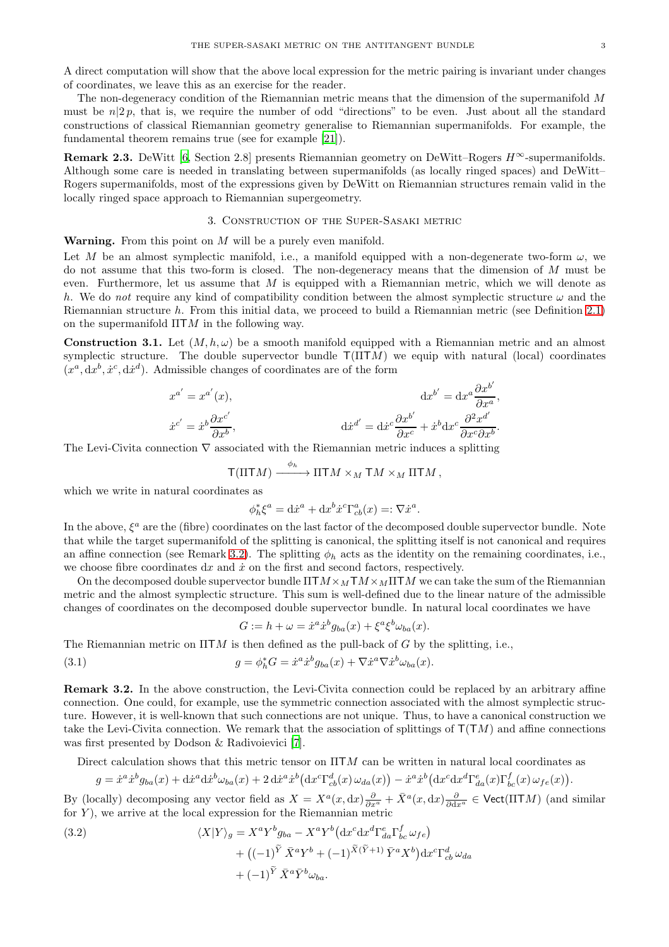The non-degeneracy condition of the Riemannian metric means that the dimension of the supermanifold M must be  $n/2p$ , that is, we require the number of odd "directions" to be even. Just about all the standard constructions of classical Riemannian geometry generalise to Riemannian supermanifolds. For example, the fundamental theorem remains true (see for example [\[21](#page-5-17)]).

**Remark 2.3.** DeWitt [\[6](#page-5-18), Section 2.8] presents Riemannian geometry on DeWitt–Rogers  $H^{\infty}$ -supermanifolds. Although some care is needed in translating between supermanifolds (as locally ringed spaces) and DeWitt– Rogers supermanifolds, most of the expressions given by DeWitt on Riemannian structures remain valid in the locally ringed space approach to Riemannian supergeometry.

## 3. Construction of the Super-Sasaki metric

**Warning.** From this point on  $M$  will be a purely even manifold.

Let M be an almost symplectic manifold, i.e., a manifold equipped with a non-degenerate two-form  $\omega$ , we do not assume that this two-form is closed. The non-degeneracy means that the dimension of M must be even. Furthermore, let us assume that  $M$  is equipped with a Riemannian metric, which we will denote as h. We do not require any kind of compatibility condition between the almost symplectic structure  $\omega$  and the Riemannian structure h. From this initial data, we proceed to build a Riemannian metric (see Definition [2.1\)](#page-1-0) on the supermanifold  $\Pi TM$  in the following way.

<span id="page-2-0"></span>**Construction 3.1.** Let  $(M, h, \omega)$  be a smooth manifold equipped with a Riemannian metric and an almost symplectic structure. The double supervector bundle  $T(\Pi TM)$  we equip with natural (local) coordinates  $(x^a, dx^b, \dot{x}^c, d\dot{x}^d)$ . Admissible changes of coordinates are of the form

 $\overline{\phantom{a}}$ 

$$
x^{a'} = x^{a'}(x),
$$
  
\n
$$
\dot{x}^{c'} = \dot{x}^{b} \frac{\partial x^{c'}}{\partial x^{b}},
$$
  
\n
$$
\dot{x}^{c'} = \dot{x}^{b} \frac{\partial x^{c'}}{\partial x^{b}},
$$
  
\n
$$
\dot{d}x^{d'} = d\dot{x}^{c} \frac{\partial x^{b'}}{\partial x^{c}} + \dot{x}^{b} dx^{c} \frac{\partial^{2} x^{d'}}{\partial x^{c} \partial x^{b}}.
$$

The Levi-Civita connection  $\nabla$  associated with the Riemannian metric induces a splitting

$$
\mathsf{T}(\Pi\mathsf{T} M)\xrightarrow{\phi_h}\Pi\mathsf{T} M\times_M\mathsf{T} M\times_M\Pi\mathsf{T} M,
$$

which we write in natural coordinates as

$$
\phi_h^* \xi^a = \mathrm{d}\dot{x}^a + \mathrm{d}x^b \dot{x}^c \Gamma^a_{cb}(x) =: \nabla \dot{x}^a
$$

.

In the above,  $\xi^a$  are the (fibre) coordinates on the last factor of the decomposed double supervector bundle. Note that while the target supermanifold of the splitting is canonical, the splitting itself is not canonical and requires an affine connection (see Remark [3.2\)](#page-2-1). The splitting  $\phi_h$  acts as the identity on the remaining coordinates, i.e., we choose fibre coordinates  $dx$  and  $\dot{x}$  on the first and second factors, respectively.

On the decomposed double supervector bundle  $\Pi TM \times M TM \times M \Pi TM$  we can take the sum of the Riemannian metric and the almost symplectic structure. This sum is well-defined due to the linear nature of the admissible changes of coordinates on the decomposed double supervector bundle. In natural local coordinates we have

<span id="page-2-3"></span>
$$
G := h + \omega = \dot{x}^a \dot{x}^b g_{ba}(x) + \xi^a \xi^b \omega_{ba}(x).
$$

The Riemannian metric on  $\Pi TM$  is then defined as the pull-back of G by the splitting, i.e.,

(3.1) 
$$
g = \phi_h^* G = \dot{x}^a \dot{x}^b g_{ba}(x) + \nabla \dot{x}^a \nabla \dot{x}^b \omega_{ba}(x).
$$

<span id="page-2-1"></span>Remark 3.2. In the above construction, the Levi-Civita connection could be replaced by an arbitrary affine connection. One could, for example, use the symmetric connection associated with the almost symplectic structure. However, it is well-known that such connections are not unique. Thus, to have a canonical construction we take the Levi-Civita connection. We remark that the association of splittings of  $T(TM)$  and affine connections was first presented by Dodson & Radivoievici [\[7](#page-5-19)].

Direct calculation shows that this metric tensor on  $\Pi TM$  can be written in natural local coordinates as

$$
g = \dot{x}^a \dot{x}^b g_{ba}(x) + \mathrm{d}\dot{x}^a \mathrm{d}\dot{x}^b \omega_{ba}(x) + 2 \,\mathrm{d}\dot{x}^a \dot{x}^b \big(\mathrm{d} x^c \Gamma^d_{cb}(x) \omega_{da}(x)\big) - \dot{x}^a \dot{x}^b \big(\mathrm{d} x^c \mathrm{d} x^d \Gamma^e_{da}(x) \Gamma^f_{bc}(x) \omega_{fe}(x)\big).
$$

By (locally) decomposing any vector field as  $X = X^a(x, dx) \frac{\partial}{\partial x^a} + \bar{X}^a(x, dx) \frac{\partial}{\partial dx^a} \in \text{Vect}(\Pi TM)$  (and similar for  $Y$ ), we arrive at the local expression for the Riemannian metric

<span id="page-2-2"></span>(3.2)  
\n
$$
\langle X|Y\rangle_g = X^a Y^b g_{ba} - X^a Y^b \left(\mathrm{d}x^c \mathrm{d}x^d \Gamma^e_{da} \Gamma^f_{bc} \omega_{fe}\right) \n+ \left((-1)^{\widetilde{Y}} \bar{X}^a Y^b + (-1)^{\widetilde{X}(\widetilde{Y}+1)} \bar{Y}^a X^b\right) \mathrm{d}x^c \Gamma^d_{cb} \omega_{da} \n+ (-1)^{\widetilde{Y}} \bar{X}^a \bar{Y}^b \omega_{ba}.
$$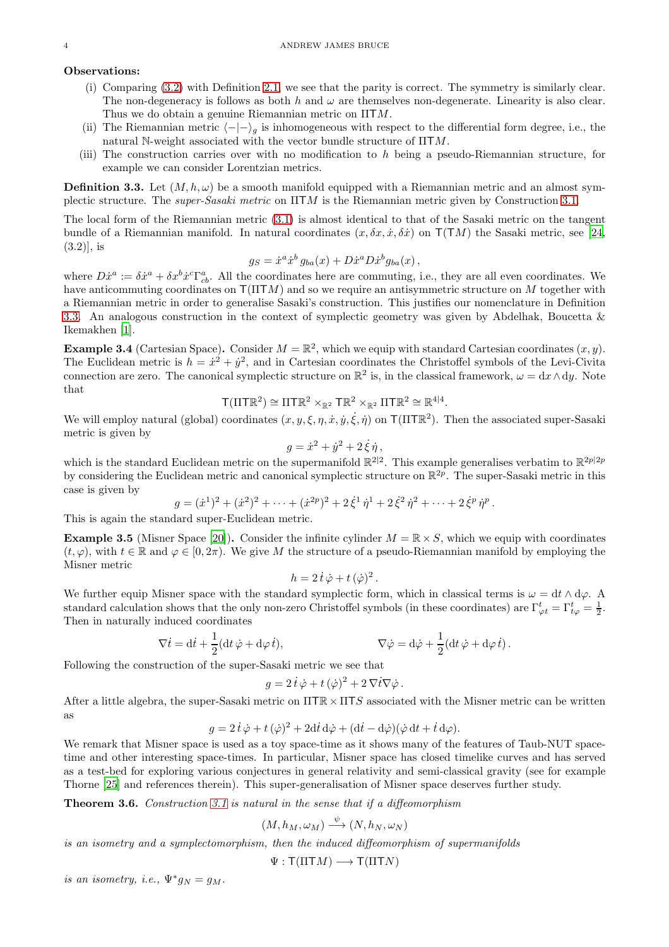# Observations:

- (i) Comparing [\(3.2\)](#page-2-2) with Definition [2.1,](#page-1-0) we see that the parity is correct. The symmetry is similarly clear. The non-degeneracy is follows as both h and  $\omega$  are themselves non-degenerate. Linearity is also clear. Thus we do obtain a genuine Riemannian metric on ΠTM.
- (ii) The Riemannian metric  $\langle -|-\rangle_g$  is inhomogeneous with respect to the differential form degree, i.e., the natural N-weight associated with the vector bundle structure of ΠTM.
- (iii) The construction carries over with no modification to h being a pseudo-Riemannian structure, for example we can consider Lorentzian metrics.

<span id="page-3-1"></span>**Definition 3.3.** Let  $(M, h, \omega)$  be a smooth manifold equipped with a Riemannian metric and an almost symplectic structure. The super-Sasaki metric on ΠTM is the Riemannian metric given by Construction [3.1.](#page-2-0)

The local form of the Riemannian metric [\(3.1\)](#page-2-3) is almost identical to that of the Sasaki metric on the tangent bundle of a Riemannian manifold. In natural coordinates  $(x, \delta x, \dot{x}, \delta \dot{x})$  on  $T(TM)$  the Sasaki metric, see [\[24,](#page-6-0)  $(3.2)$ , is

$$
g_S = \dot{x}^a \dot{x}^b g_{ba}(x) + D\dot{x}^a D\dot{x}^b g_{ba}(x) ,
$$

where  $D\dot{x}^a := \delta\dot{x}^a + \delta x^b \dot{x}^c \Gamma^a_{cb}$ . All the coordinates here are commuting, i.e., they are all even coordinates. We have anticommuting coordinates on  $T(TTTM)$  and so we require an antisymmetric structure on M together with a Riemannian metric in order to generalise Sasaki's construction. This justifies our nomenclature in Definition [3.3.](#page-3-1) An analogous construction in the context of symplectic geometry was given by Abdelhak, Boucetta & Ikemakhen [\[1\]](#page-5-20).

**Example 3.4** (Cartesian Space). Consider  $M = \mathbb{R}^2$ , which we equip with standard Cartesian coordinates  $(x, y)$ . The Euclidean metric is  $h = \dot{x}^2 + \dot{y}^2$ , and in Cartesian coordinates the Christoffel symbols of the Levi-Civita connection are zero. The canonical symplectic structure on  $\mathbb{R}^2$  is, in the classical framework,  $\omega = dx \wedge dy$ . Note that

$$
\mathsf{T}(\Pi\mathsf{T}\mathbb{R}^2)\cong\Pi\mathsf{T}\mathbb{R}^2\times_{\mathbb{R}^2}\mathsf{T}\mathbb{R}^2\times_{\mathbb{R}^2}\Pi\mathsf{T}\mathbb{R}^2\cong\mathbb{R}^{4|4}.
$$

We will employ natural (global) coordinates  $(x, y, \xi, \eta, \dot{x}, \dot{y}, \dot{\xi}, \dot{\eta})$  on  $\mathsf{T}(\Pi \mathsf{T} \mathbb{R}^2)$ . Then the associated super-Sasaki metric is given by

$$
g = \dot{x}^2 + \dot{y}^2 + 2\dot{\xi}\dot{\eta},
$$

which is the standard Euclidean metric on the supermanifold  $\mathbb{R}^{2|2}$ . This example generalises verbatim to  $\mathbb{R}^{2p|2p}$ by considering the Euclidean metric and canonical symplectic structure on  $\mathbb{R}^{2p}$ . The super-Sasaki metric in this case is given by

$$
g = (\dot{x}^1)^2 + (\dot{x}^2)^2 + \cdots + (\dot{x}^{2p})^2 + 2\dot{\xi}^1\dot{\eta}^1 + 2\dot{\xi}^2\dot{\eta}^2 + \cdots + 2\dot{\xi}^p\dot{\eta}^p.
$$

This is again the standard super-Euclidean metric.

<span id="page-3-0"></span>**Example 3.5** (Misner Space [\[20\]](#page-5-1)). Consider the infinite cylinder  $M = \mathbb{R} \times S$ , which we equip with coordinates  $(t, \varphi)$ , with  $t \in \mathbb{R}$  and  $\varphi \in [0, 2\pi)$ . We give M the structure of a pseudo-Riemannian manifold by employing the Misner metric

$$
h = 2\,\dot{t}\,\dot{\varphi} + t\,(\dot{\varphi})^2\,.
$$

We further equip Misner space with the standard symplectic form, which in classical terms is  $\omega = dt \wedge d\varphi$ . A standard calculation shows that the only non-zero Christoffel symbols (in these coordinates) are  $\Gamma^t_{\varphi t} = \Gamma^t_{t\varphi} = \frac{1}{2}$ . Then in naturally induced coordinates

$$
\nabla \dot{t} = \mathrm{d}\dot{t} + \frac{1}{2}(\mathrm{d}t\,\dot{\varphi} + \mathrm{d}\varphi\,\dot{t}),\qquad \nabla \dot{\varphi} = \mathrm{d}\dot{\varphi} + \frac{1}{2}(\mathrm{d}t\,\dot{\varphi} + \mathrm{d}\varphi\,\dot{t}).
$$

Following the construction of the super-Sasaki metric we see that

$$
g = 2\,\dot{t}\,\dot{\varphi} + t\,(\dot{\varphi})^2 + 2\,\nabla \dot{t}\nabla \dot{\varphi} \,.
$$

After a little algebra, the super-Sasaki metric on  $\Pi T \mathbb{R} \times \Pi T S$  associated with the Misner metric can be written as

$$
g = 2\dot{t}\dot{\varphi} + t(\dot{\varphi})^2 + 2dt\,\mathrm{d}\dot{\varphi} + (\mathrm{d}t - \mathrm{d}\dot{\varphi})(\dot{\varphi}\,\mathrm{d}t + \dot{t}\,\mathrm{d}\varphi).
$$

We remark that Misner space is used as a toy space-time as it shows many of the features of Taub-NUT spacetime and other interesting space-times. In particular, Misner space has closed timelike curves and has served as a test-bed for exploring various conjectures in general relativity and semi-classical gravity (see for example Thorne [\[25](#page-6-5)] and references therein). This super-generalisation of Misner space deserves further study.

Theorem 3.6. Construction [3.1](#page-2-0) is natural in the sense that if a diffeomorphism

$$
(M, h_M, \omega_M) \stackrel{\psi}{\longrightarrow} (N, h_N, \omega_N)
$$

is an isometry and a symplectomorphism, then the induced diffeomorphism of supermanifolds

$$
\Psi : \mathsf{T}(\Pi \mathsf{T} M) \longrightarrow \mathsf{T}(\Pi \mathsf{T} N)
$$

is an isometry, i.e.,  $\Psi^* g_N = g_M$ .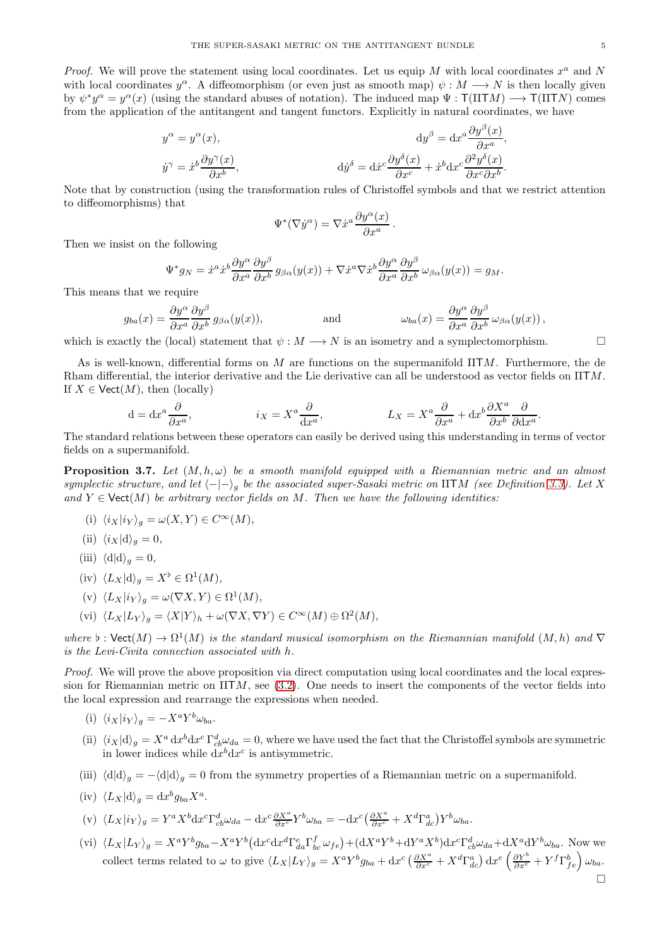Proof. We will prove the statement using local coordinates. Let us equip M with local coordinates  $x^a$  and N with local coordinates  $y^{\alpha}$ . A diffeomorphism (or even just as smooth map)  $\psi : M \longrightarrow N$  is then locally given by  $\psi^* y^\alpha = y^\alpha(x)$  (using the standard abuses of notation). The induced map  $\Psi : \mathsf{T}(\Pi \mathsf{T} M) \longrightarrow \mathsf{T}(\Pi \mathsf{T} N)$  comes from the application of the antitangent and tangent functors. Explicitly in natural coordinates, we have

$$
y^{\alpha} = y^{\alpha}(x), \qquad dy^{\beta} = dx^{a} \frac{\partial y^{\beta}(x)}{\partial x^{a}},
$$

$$
\dot{y}^{\gamma} = \dot{x}^{b} \frac{\partial y^{\gamma}(x)}{\partial x^{b}}, \qquad dy^{\delta} = dx^{c} \frac{\partial y^{\delta}(x)}{\partial x^{c}} + \dot{x}^{b} dx^{c} \frac{\partial^{2} y^{\delta}(x)}{\partial x^{c} \partial x^{b}}.
$$

Note that by construction (using the transformation rules of Christoffel symbols and that we restrict attention to diffeomorphisms) that

$$
\Psi^*(\nabla \dot y^\alpha) = \nabla \dot x^a \frac{\partial y^\alpha(x)}{\partial x^a}.
$$

Then we insist on the following

Ψ

$$
^*g_N = \dot{x}^a \dot{x}^b \frac{\partial y^\alpha}{\partial x^a} \frac{\partial y^\beta}{\partial x^b} g_{\beta\alpha}(y(x)) + \nabla \dot{x}^a \nabla \dot{x}^b \frac{\partial y^\alpha}{\partial x^a} \frac{\partial y^\beta}{\partial x^b} \omega_{\beta\alpha}(y(x)) = g_M.
$$

This means that we require

$$
g_{ba}(x) = \frac{\partial y^{\alpha}}{\partial x^{a}} \frac{\partial y^{\beta}}{\partial x^{b}} g_{\beta\alpha}(y(x)), \qquad \text{and} \qquad \omega_{ba}(x) = \frac{\partial y^{\alpha}}{\partial x^{a}} \frac{\partial y^{\beta}}{\partial x^{b}} \omega_{\beta\alpha}(y(x)),
$$

which is exactly the (local) statement that  $\psi : M \longrightarrow N$  is an isometry and a symplectomorphism.

As is well-known, differential forms on M are functions on the supermanifold  $\Pi TM$ . Furthermore, the de Rham differential, the interior derivative and the Lie derivative can all be understood as vector fields on ΠTM. If  $X \in \text{Vect}(M)$ , then (locally)

$$
d = dx^{a} \frac{\partial}{\partial x^{a}}, \qquad i_{X} = X^{a} \frac{\partial}{\partial x^{a}}, \qquad L_{X} = X^{a} \frac{\partial}{\partial x^{a}} + dx^{b} \frac{\partial X^{a}}{\partial x^{b}} \frac{\partial}{\partial dx^{a}}.
$$

The standard relations between these operators can easily be derived using this understanding in terms of vector fields on a supermanifold.

<span id="page-4-0"></span>**Proposition 3.7.** Let  $(M, h, \omega)$  be a smooth manifold equipped with a Riemannian metric and an almost symplectic structure, and let  $\langle -|-\rangle_g$  be the associated super-Sasaki metric on  $\Pi TM$  (see Definition [3.3\)](#page-3-1). Let X and  $Y \in \text{Vect}(M)$  be arbitrary vector fields on M. Then we have the following identities:

- (i)  $\langle i_X | i_Y \rangle_q = \omega(X, Y) \in C^{\infty}(M),$
- (ii)  $\langle i_X|\text{d}\rangle_q = 0,$
- (iii)  $\langle d|d\rangle_q = 0$ ,
- (iv)  $\langle L_X | \, \mathrm{d} \rangle_g = X^\flat \in \Omega^1(M)$ ,
- (v)  $\langle L_X | i_Y \rangle_g = \omega(\nabla X, Y) \in \Omega^1(M)$ ,
- (vi)  $\langle L_X | L_Y \rangle_g = \langle X | Y \rangle_h + \omega(\nabla X, \nabla Y) \in C^\infty(M) \oplus \Omega^2(M),$

where  $\flat: \mathsf{Vect}(M) \to \Omega^1(M)$  is the standard musical isomorphism on the Riemannian manifold  $(M,h)$  and  $\nabla$ is the Levi-Civita connection associated with h.

Proof. We will prove the above proposition via direct computation using local coordinates and the local expression for Riemannian metric on  $\Pi TM$ , see [\(3.2\)](#page-2-2). One needs to insert the components of the vector fields into the local expression and rearrange the expressions when needed.

- (i)  $\langle i_X | i_Y \rangle_g = -X^a Y^b \omega_{ba}.$
- (ii)  $\langle i_X | d \rangle_g = X^a dx^b dx^c \Gamma^d_{cb} \omega_{da} = 0$ , where we have used the fact that the Christoffel symbols are symmetric in lower indices while  $dx^b dx^c$  is antisymmetric.
- (iii)  $\langle d|d\rangle_q = -\langle d|d\rangle_q = 0$  from the symmetry properties of a Riemannian metric on a supermanifold.

(iv) 
$$
\langle L_X | \mathrm{d} \rangle_g = \mathrm{d} x^b g_{ba} X^a
$$
.

$$
(\mathbf{v})\ \langle L_X | i_Y \rangle_g = Y^a X^b \mathrm{d} x^c \Gamma^d_{cb} \omega_{da} - \mathrm{d} x^c \frac{\partial X^a}{\partial x^c} Y^b \omega_{ba} = - \mathrm{d} x^c \left( \frac{\partial X^a}{\partial x^c} + X^d \Gamma^a_{dc} \right) Y^b \omega_{ba}.
$$

(vi)  $\langle L_X | L_Y \rangle_g = X^a Y^b g_{ba} - X^a Y^b (dx^c dx^d \Gamma^e_{da} \Gamma^f_{bc} \omega_{fe}) + (dX^a Y^b + dY^a X^b) dx^c \Gamma^d_{cb} \omega_{da} + dX^a dY^b \omega_{ba}$ . Now we collect terms related to  $\omega$  to give  $\langle L_X | L_Y \rangle_g = X^a Y^b g_{ba} + dx^c \left( \frac{\partial X^a}{\partial x^c} + X^d \Gamma^a_{dc} \right) dx^e \left( \frac{\partial Y^b}{\partial x^e} + Y^f \Gamma^b_{fe} \right) \omega_{ba}$ .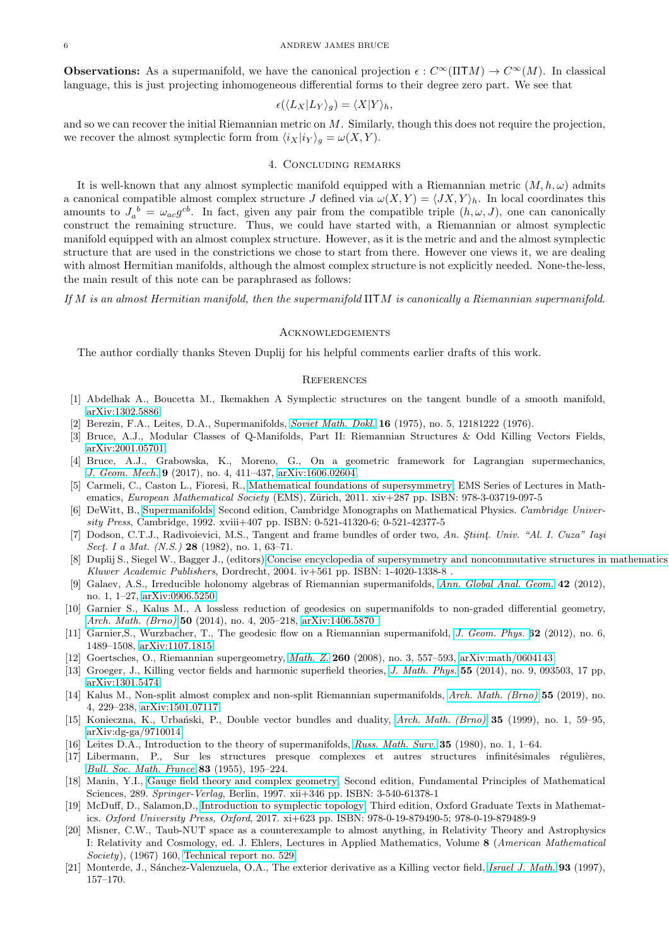#### 6 ANDREW JAMES BRUCE

**Observations:** As a supermanifold, we have the canonical projection  $\epsilon : C^{\infty}(\Pi TM) \to C^{\infty}(M)$ . In classical language, this is just projecting inhomogeneous differential forms to their degree zero part. We see that

$$
\epsilon(\langle L_X | L_Y \rangle_g) = \langle X | Y \rangle_h,
$$

and so we can recover the initial Riemannian metric on  $M$ . Similarly, though this does not require the projection, we recover the almost symplectic form from  $\langle i_X | i_Y \rangle_q = \omega(X, Y)$ .

## 4. Concluding remarks

It is well-known that any almost symplectic manifold equipped with a Riemannian metric  $(M, h, \omega)$  admits a canonical compatible almost complex structure J defined via  $\omega(X, Y) = \langle JX, Y \rangle_h$ . In local coordinates this amounts to  $J_a{}^b = \omega_{ac} g^{cb}$ . In fact, given any pair from the compatible triple  $(h, \omega, J)$ , one can canonically construct the remaining structure. Thus, we could have started with, a Riemannian or almost symplectic manifold equipped with an almost complex structure. However, as it is the metric and and the almost symplectic structure that are used in the constrictions we chose to start from there. However one views it, we are dealing with almost Hermitian manifolds, although the almost complex structure is not explicitly needed. None-the-less, the main result of this note can be paraphrased as follows:

If M is an almost Hermitian manifold, then the supermanifold ΠTM is canonically a Riemannian supermanifold.

### **ACKNOWLEDGEMENTS**

The author cordially thanks Steven Duplij for his helpful comments earlier drafts of this work.

### **REFERENCES**

- <span id="page-5-20"></span>[1] Abdelhak A., Boucetta M., Ikemakhen A Symplectic structures on the tangent bundle of a smooth manifold, [arXiv:1302.5886.](https://arxiv.org/abs/1302.5886v1)
- <span id="page-5-5"></span>[2] Berezin, F.A., Leites, D.A., Supermanifolds, [Soviet Math. Dokl.](http://www.mathnet.ru/php/archive.phtml?wshow=paper&jrnid=dan&paperid=39282&option_lang=eng) 16 (1975), no. 5, 12181222 (1976).
- <span id="page-5-0"></span>[3] Bruce, A.J., Modular Classes of Q-Manifolds, Part II: Riemannian Structures & Odd Killing Vectors Fields, [arXiv:2001.05701.](https://arxiv.org/abs/2001.05701)
- <span id="page-5-4"></span>[4] Bruce, A.J., Grabowska, K., Moreno, G., On a geometric framework for Lagrangian supermechanics, [J. Geom. Mech.](https://doi.org/10.3934/jgm.2017016) 9 (2017), no. 4, 411–437, [arXiv:1606.02604.](https://arxiv.org/abs/1606.02604)
- <span id="page-5-13"></span>[5] Carmeli, C., Caston L., Fioresi, R., [Mathematical foundations of supersymmetry,](http://www.ems-ph.org/books/book.php?proj_nr=132) EMS Series of Lectures in Mathematics, European Mathematical Society (EMS), Zürich, 2011. xiv+287 pp. ISBN: 978-3-03719-097-5
- <span id="page-5-18"></span>[6] DeWitt, B., [Supermanifolds,](https://doi.org/10.1017/CBO9780511564000) Second edition, Cambridge Monographs on Mathematical Physics. Cambridge University Press, Cambridge, 1992. xviii+407 pp. ISBN: 0-521-41320-6; 0-521-42377-5
- <span id="page-5-19"></span>[7] Dodson, C.T.J., Radivoievici, M.S., Tangent and frame bundles of order two, An. Stiint, Univ. "Al. I. Cuza" Iaşi Sect. I a Mat.  $(N.S.)$  28 (1982), no. 1, 63-71.
- <span id="page-5-15"></span>[8] Duplij S., Siegel W., Bagger J., (editors) [Concise encyclopedia of supersymmetry and noncommutative structures in](https://doi.org/10.1007/1-4020-4522-0) mathematics Kluwer Academic Publishers, Dordrecht, 2004. iv+561 pp. ISBN: 1-4020-1338-8 .
- <span id="page-5-7"></span>[9] Galaev, A.S., Irreducible holonomy algebras of Riemannian supermanifolds, [Ann. Global Anal. Geom.](https://doi.org/10.1007/s10455-011-9299-4) 42 (2012), no. 1, 1–27, [arXiv:0906.5250.](https://arxiv.org/abs/0906.5250)
- <span id="page-5-8"></span>[10] Garnier S., Kalus M., A lossless reduction of geodesics on supermanifolds to non-graded differential geometry, [Arch. Math. \(Brno\)](http://dx.doi.org/10.5817/AM2014-4-205) 50 (2014), no. 4, 205-218, arXiv:1406.5870.
- <span id="page-5-9"></span>[11] Garnier, S., Wurzbacher, T., The geodesic flow on a Riemannian supermanifold, [J. Geom. Phys.](https://doi.org/10.1016/j.geomphys.2012.02.002) 62 (2012), no. 6, 1489–1508, [arXiv:1107.1815.](https://arxiv.org/abs/1107.1815)
- <span id="page-5-10"></span>[12] Goertsches, O., Riemannian supergeometry, [Math. Z.](https://doi.org/10.1007/s00209-007-0288-z) 260 (2008), no. 3, 557–593, [arXiv:math/0604143.](https://arxiv.org/abs/math/0604143)
- <span id="page-5-11"></span>[13] Groeger, J., Killing vector fields and harmonic superfield theories, [J. Math. Phys.](https://doi.org/10.1063/1.4895464) 55 (2014), no. 9, 093503, 17 pp, [arXiv:1301.5474.](https://arxiv.org/abs/1301.5474)
- <span id="page-5-12"></span>[14] Kalus M., Non-split almost complex and non-split Riemannian supermanifolds, [Arch. Math. \(Brno\)](http://dx.doi.org/10.5817/AM2019-4-229) 55 (2019), no. 4, 229–238, [arXiv:1501.07117.](https://arxiv.org/abs/1501.07117)
- <span id="page-5-6"></span>[15] Konieczna, K., Urbański, P., Double vector bundles and duality, [Arch. Math. \(Brno\)](http://eudml.org/doc/248355) 35 (1999), no. 1, 59–95, [arXiv:dg-ga/9710014.](https://arxiv.org/abs/dg-ga/9710014)
- <span id="page-5-16"></span>[16] Leites D.A., Introduction to the theory of supermanifolds, [Russ. Math. Surv.](https://doi.org/10.1070/RM1980v035n01ABEH001545) 35 (1980), no. 1, 1–64.
- <span id="page-5-2"></span>[17] Libermann, P., Sur les structures presque complexes et autres structures infinitésimales régulières, [Bull. Soc. Math. France](http://www.numdam.org/item?id=BSMF_1955__83__195_0) 83 (1955), 195–224.
- <span id="page-5-14"></span>[18] Manin, Y.I., [Gauge field theory and complex geometry,](http://link.springer.com/book/10.1007%2F978-3-662-07386-5) Second edition, Fundamental Principles of Mathematical Sciences, 289. Springer-Verlag, Berlin, 1997. xii+346 pp. ISBN: 3-540-61378-1
- <span id="page-5-3"></span>[19] McDuff, D., Salamon,D., [Introduction to symplectic topology,](https://doi.org/10.1093/oso/9780198794899.001.0001) Third edition, Oxford Graduate Texts in Mathematics. Oxford University Press, Oxford, 2017. xi+623 pp. ISBN: 978-0-19-879490-5; 978-0-19-879489-9
- <span id="page-5-1"></span>[20] Misner, C.W., Taub-NUT space as a counterexample to almost anything, in Relativity Theory and Astrophysics I: Relativity and Cosmology, ed. J. Ehlers, Lectures in Applied Mathematics, Volume 8 (American Mathematical Society), (1967) 160, [Technical report no. 529.](https://ntrs.nasa.gov/search.jsp?R=19660007407)
- <span id="page-5-17"></span>[21] Monterde, J., Sánchez-Valenzuela, O.A., The exterior derivative as a Killing vector field, [Israel J. Math.](https://doi.org/10.1007/BF02761099) 93 (1997), 157–170.